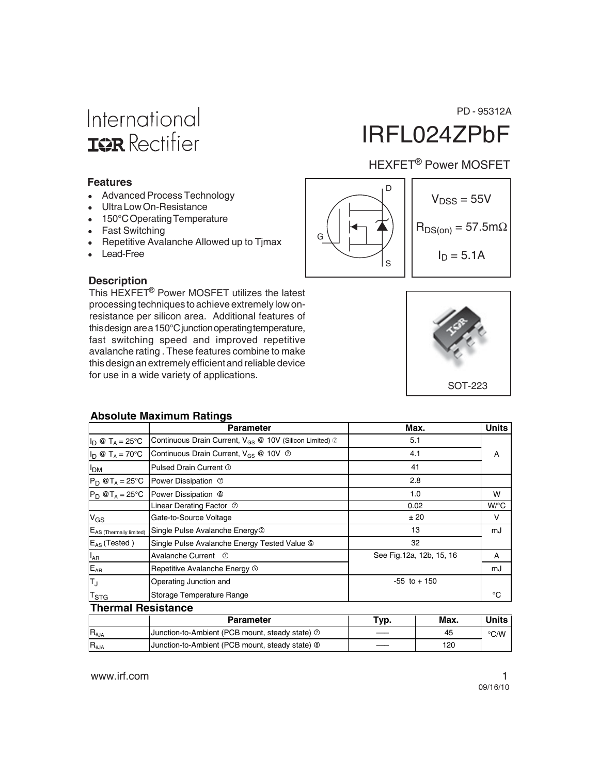## International **ISR** Rectifier

#### **Features**

- Advanced Process Technology
- Ultra Low On-Resistance
- 150°C Operating Temperature
- Fast Switching
- Repetitive Avalanche Allowed up to Tjmax
- Lead-Free

#### **Description**

This HEXFET® Power MOSFET utilizes the latest processing techniques to achieve extremely low onresistance per silicon area. Additional features of this design are a 150°C junction operating temperature, fast switching speed and improved repetitive avalanche rating . These features combine to make this design an extremely efficient and reliable device for use in a wide variety of applications.

# IRFL024ZPbF

### HEXFET® Power MOSFET





#### **Absolute Maximum Ratings**

|                                 | <b>Parameter</b>                                                           | Max.                      | <b>Units</b> |
|---------------------------------|----------------------------------------------------------------------------|---------------------------|--------------|
| $I_D \otimes T_A = 25$ °C       | Continuous Drain Current, $V_{GS} \otimes 10V$ (Silicon Limited) $\oslash$ | 5.1                       |              |
| $I_D \otimes T_A = 70^{\circ}C$ | Continuous Drain Current, $V_{GS} \otimes 10V \otimes$                     | 4.1                       | A            |
| <b>I<sub>DM</sub></b>           | Pulsed Drain Current ①                                                     | 41                        |              |
| $P_D @T_A = 25^\circ C$         | Power Dissipation 2                                                        | 2.8                       |              |
| $P_D @T_A = 25^\circ C$         | Power Dissipation <sup>®</sup>                                             | 1.0                       | W            |
|                                 | Linear Derating Factor 2                                                   | 0.02                      | $W$ /°C      |
| $V_{GS}$                        | Gate-to-Source Voltage                                                     | ±20                       | V            |
| $E_{AS}$ (Thermally limited)    | Single Pulse Avalanche Energy <sup>2</sup>                                 | 13                        | mJ           |
| $E_{AS}$ (Tested)               | Single Pulse Avalanche Energy Tested Value <sup>®</sup>                    | 32                        |              |
| $I_{AR}$                        | Avalanche Current ①                                                        | See Fig. 12a, 12b, 15, 16 | A            |
| $E_{AR}$                        | Repetitive Avalanche Energy 5                                              |                           | mJ           |
| TJ                              | Operating Junction and                                                     | $-55$ to $+150$           |              |
| $\mathsf{I}^\mathsf{T}$ STG     | Storage Temperature Range                                                  |                           | °C           |

#### **Thermal Resistance**

|                  | <b>Parameter</b>                                           | Tvp. | Max. | Units         |
|------------------|------------------------------------------------------------|------|------|---------------|
| $R_{\theta JA}$  | Junction-to-Ambient (PCB mount, steady state) 2            | ___  | 45   | $\degree$ C/W |
| $IR_{\theta JA}$ | Junction-to-Ambient (PCB mount, steady state) <sup>®</sup> | ___  | 120  |               |

PD - 95312A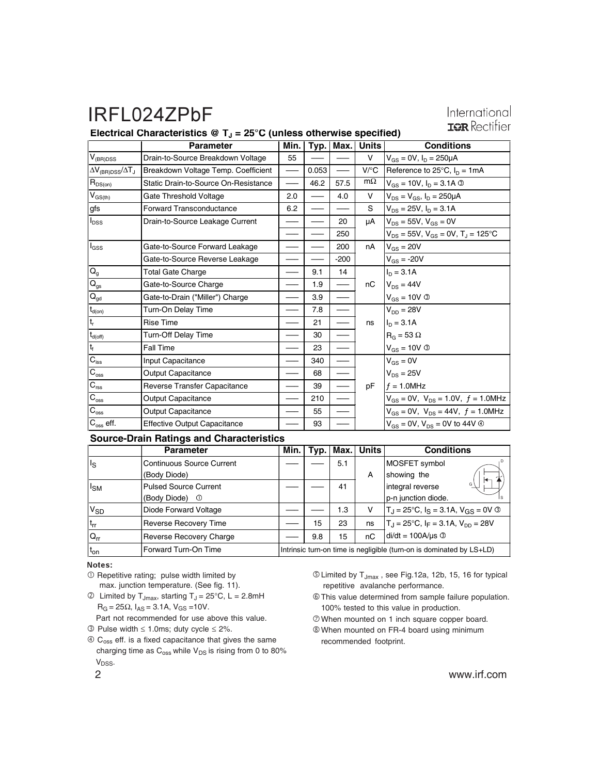#### International **IOR** Rectifier

#### **Electrical Characteristics @ TJ = 25°C (unless otherwise specified)**

|                                           | <b>Parameter</b>                     | Min. |       |        | Typ.   Max.   Units | <b>Conditions</b>                                     |
|-------------------------------------------|--------------------------------------|------|-------|--------|---------------------|-------------------------------------------------------|
| $\mathsf{V}_{\text{(BR)DSS}}$             | Drain-to-Source Breakdown Voltage    | 55   |       |        | $\vee$              | $V_{GS} = 0V$ , $I_D = 250 \mu A$                     |
| $\Delta V_{\rm (BR)DSS}/\Delta T_{\rm J}$ | Breakdown Voltage Temp. Coefficient  |      | 0.053 |        | $V$ /°C             | Reference to 25 $^{\circ}$ C, $I_{D} = 1$ mA          |
| $R_{DS(on)}$                              | Static Drain-to-Source On-Resistance |      | 46.2  | 57.5   | $m\Omega$           | $V_{GS} = 10V$ , $I_D = 3.1A$ 3                       |
| $V_{GS(th)}$                              | Gate Threshold Voltage               | 2.0  |       | 4.0    | V                   | $V_{DS} = V_{GS}$ , $I_D = 250 \mu A$                 |
| gfs                                       | <b>Forward Transconductance</b>      | 6.2  |       |        | S                   | $V_{DS} = 25V$ , $I_D = 3.1A$                         |
| $I_{DSS}$                                 | Drain-to-Source Leakage Current      |      |       | 20     | μA                  | $V_{DS}$ = 55V, $V_{GS}$ = 0V                         |
|                                           |                                      |      |       | 250    |                     | $V_{DS}$ = 55V, $V_{GS}$ = 0V, T <sub>J</sub> = 125°C |
| l <sub>GSS</sub>                          | Gate-to-Source Forward Leakage       |      |       | 200    | nA                  | $V_{GS} = 20V$                                        |
|                                           | Gate-to-Source Reverse Leakage       |      |       | $-200$ |                     | $V_{GS} = -20V$                                       |
| $Q_{g}$                                   | <b>Total Gate Charge</b>             |      | 9.1   | 14     |                     | $I_n = 3.1A$                                          |
| $\mathsf{Q}_{\mathsf{gs}}$                | Gate-to-Source Charge                |      | 1.9   |        | nC                  | $V_{DS} = 44V$                                        |
| $\mathbf{Q}_{\text{gd}}$                  | Gate-to-Drain ("Miller") Charge      |      | 3.9   |        |                     | $V_{GS} = 10V$ ®                                      |
| $t_{d(on)}$                               | Turn-On Delay Time                   |      | 7.8   |        |                     | $V_{DD} = 28V$                                        |
| $t_r$                                     | <b>Rise Time</b>                     |      | 21    |        | ns                  | $I_D = 3.1A$                                          |
| $t_{d(off)}$                              | <b>Turn-Off Delay Time</b>           |      | 30    |        |                     | $R_G = 53 \Omega$                                     |
| ${\rm t_{f}}$                             | Fall Time                            |      | 23    |        |                     | $V_{GS} = 10V \circledcirc$                           |
| $C_{\text{iss}}$                          | Input Capacitance                    |      | 340   |        |                     | $V_{GS} = 0V$                                         |
| $C_{\rm oss}$                             | Output Capacitance                   |      | 68    |        |                     | $V_{DS} = 25V$                                        |
| $\mathbf{C}_{\text{rss}}$                 | Reverse Transfer Capacitance         |      | 39    |        | pF                  | $f = 1.0$ MHz                                         |
| $C_{\rm{oss}}$                            | Output Capacitance                   |      | 210   |        |                     | $V_{GS} = 0V$ , $V_{DS} = 1.0V$ , $f = 1.0MHz$        |
| $\mathbf{C}_{\mathrm{oss}}$               | Output Capacitance                   |      | 55    |        |                     | $V_{GS} = 0V$ , $V_{DS} = 44V$ , $f = 1.0MHz$         |
| $C_{\rm oss}$ eff.                        | <b>Effective Output Capacitance</b>  |      | 93    |        |                     | $V_{GS}$ = 0V, $V_{DS}$ = 0V to 44V $\circledcirc$    |

#### **Source-Drain Ratings and Characteristics**

|                       | <b>Parameter</b>                 | Min. |     | $Typ.$   Max. | Units | <b>Conditions</b>                                                        |
|-----------------------|----------------------------------|------|-----|---------------|-------|--------------------------------------------------------------------------|
| $I_{\rm S}$           | <b>Continuous Source Current</b> |      |     | 5.1           |       | MOSFET symbol                                                            |
|                       | (Body Diode)                     |      |     |               | A     | showing the                                                              |
| $I_{SM}$              | <b>Pulsed Source Current</b>     |      |     | 41            |       | G<br>integral reverse                                                    |
|                       | (Body Diode)<br>$\circ$          |      |     |               |       | p-n junction diode.                                                      |
| <b>V<sub>SD</sub></b> | Diode Forward Voltage            |      |     | 1.3           | V     | $T_{\rm J}$ = 25°C, $I_{\rm S}$ = 3.1A, $V_{\rm GS}$ = 0V $\circledcirc$ |
| $t_{rr}$              | <b>Reverse Recovery Time</b>     |      | 15  | 23            | ns    | $T_J = 25^{\circ}C$ , $I_F = 3.1A$ , $V_{DD} = 28V$                      |
| $Q_{rr}$              | <b>Reverse Recovery Charge</b>   |      | 9.8 | 15            | пC    | $di/dt = 100A/\mu s$ <sup>3</sup>                                        |
| t <sub>on</sub>       | Forward Turn-On Time             |      |     |               |       | Intrinsic turn-on time is negligible (turn-on is dominated by LS+LD)     |

Notes:

- $O$  Repetitive rating; pulse width limited by max. junction temperature. (See fig. 11).
- $\textcircled{2}$  Limited by T<sub>Jmax</sub>, starting T<sub>J</sub> = 25°C, L = 2.8mH  $R_G = 25\Omega$ ,  $I_{AS} = 3.1A$ ,  $V_{GS} = 10V$ .

Part not recommended for use above this value.

Pulse width ≤ 1.0ms; duty cycle ≤ 2%.

 $\circledA$  C<sub>oss</sub> eff. is a fixed capacitance that gives the same charging time as  $C_{\text{oss}}$  while  $V_{DS}$  is rising from 0 to 80% V<sub>DSS</sub>.

- Limited by TJmax , see Fig.12a, 12b, 15, 16 for typical repetitive avalanche performance.
- This value determined from sample failure population. 100% tested to this value in production.
- When mounted on 1 inch square copper board.
- When mounted on FR-4 board using minimum recommended footprint.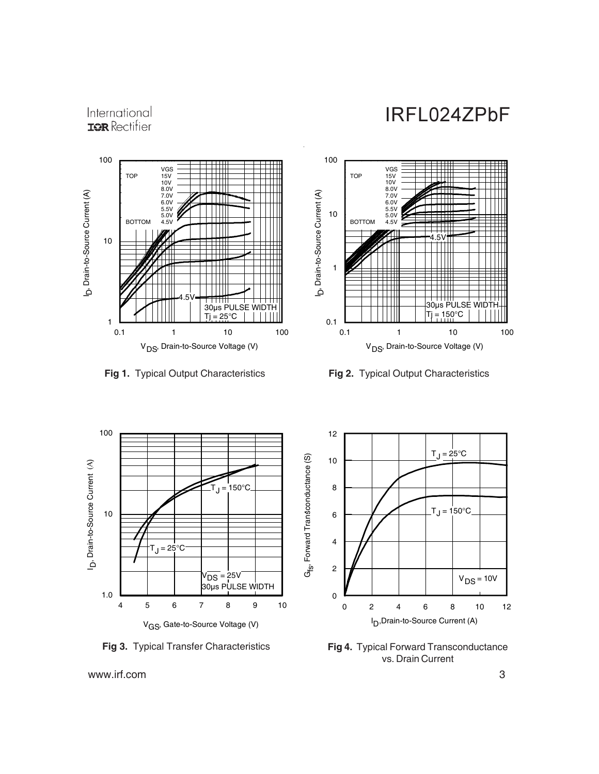### International **IQR** Rectifier





**Fig 1.** Typical Output Characteristics **Fig 2.** Typical Output Characteristics



**Fig 3.** Typical Transfer Characteristics **Fig 4.** Typical Forward Transconductance



vs. Drain Current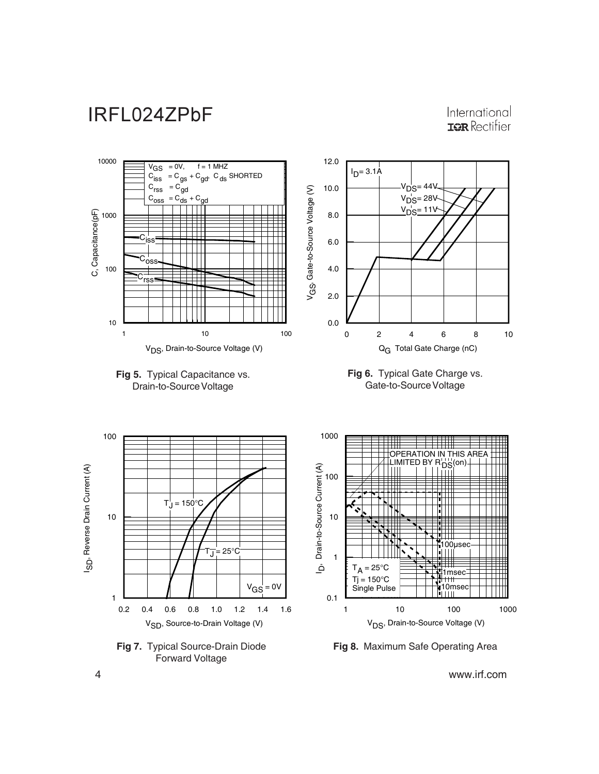International **IOR** Rectifier

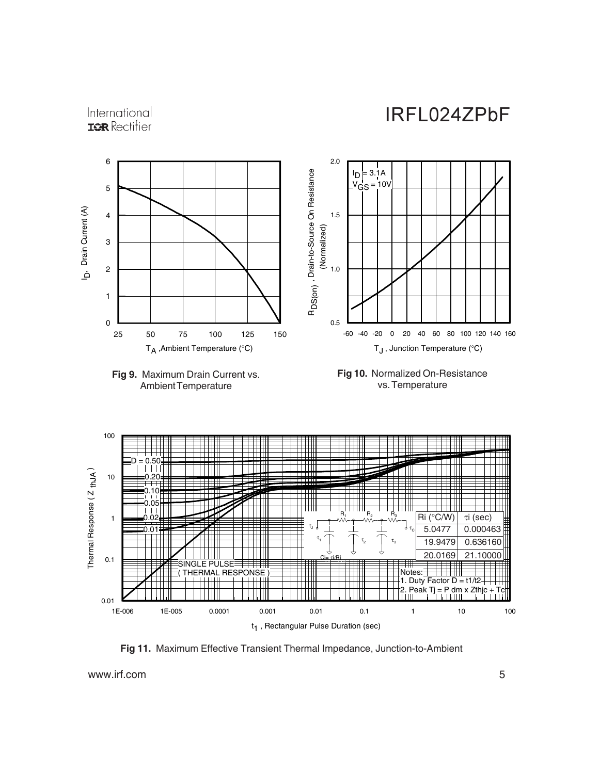International **IOR** Rectifier





**Fig 11.** Maximum Effective Transient Thermal Impedance, Junction-to-Ambient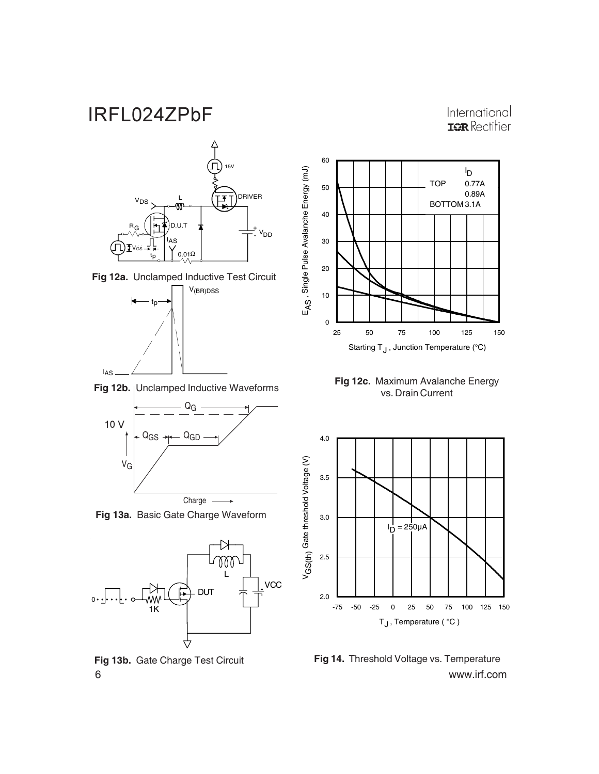### International **IOR** Rectifier



**Fig 13b.** Gate Charge Test Circuit

0

6 www.irf.com **Fig 14.** Threshold Voltage vs. Temperature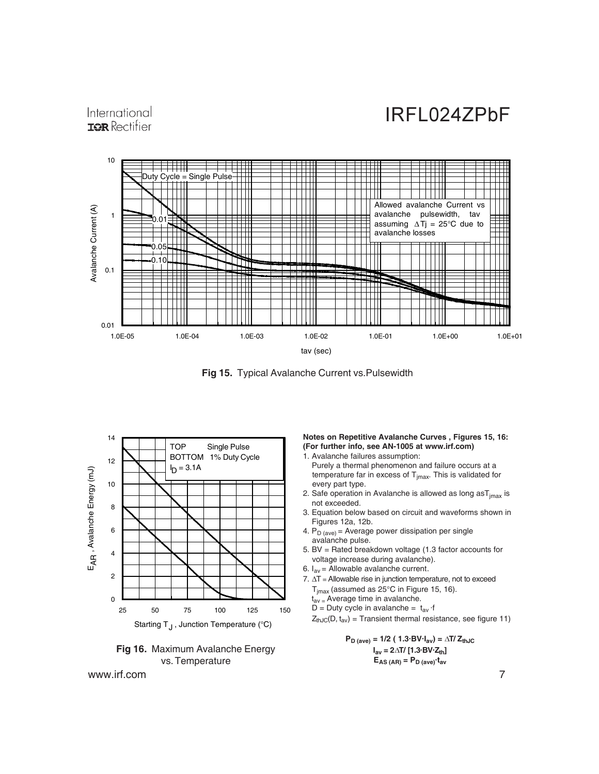International **IOR** Rectifier



**Fig 15.** Typical Avalanche Current vs.Pulsewidth





www.irf.com 7

#### **Notes on Repetitive Avalanche Curves , Figures 15, 16: (For further info, see AN-1005 at www.irf.com)**

- 1. Avalanche failures assumption: Purely a thermal phenomenon and failure occurs at a temperature far in excess of  $T_{jmax}$ . This is validated for every part type.
- 2. Safe operation in Avalanche is allowed as long as  $T_{\text{imax}}$  is not exceeded.
- 3. Equation below based on circuit and waveforms shown in Figures 12a, 12b.
- 4.  $P_D$  (ave) = Average power dissipation per single avalanche pulse.
- 5. BV = Rated breakdown voltage (1.3 factor accounts for voltage increase during avalanche).
- 6.  $I_{av}$  = Allowable avalanche current.
- 7. ∆T = Allowable rise in junction temperature, not to exceed  $T_{jmax}$  (assumed as 25°C in Figure 15, 16).
	- $t_{av}$  = Average time in avalanche.
	- D = Duty cycle in avalanche =  $t_{av}$  ·f

 $Z_{thJC}(D, t_{av})$  = Transient thermal resistance, see figure 11)

 $P_{D \text{ (ave)}} = 1/2 (1.3 \text{ BV} \cdot I_{av}) = \Delta T / Z_{thJC}$  $I_{av} = 2\Delta T / [1.3 BV·Z_{th}]$  $E_{AS (AR)} = P_{D (ave)} \cdot t_{av}$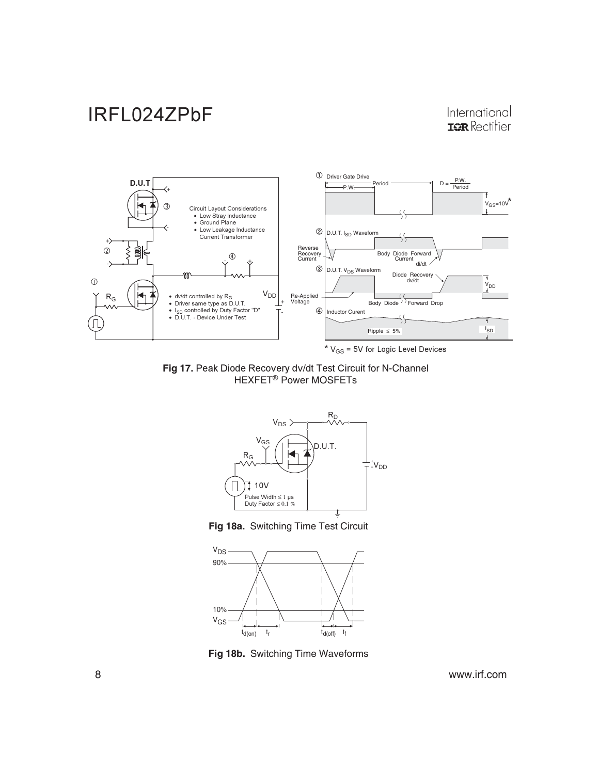### International **IOR** Rectifier



Fig 17. Peak Diode Recovery dv/dt Test Circuit for N-Channel HEXFET<sup>®</sup> Power MOSFETs



**Fig 18a.** Switching Time Test Circuit



**Fig 18b.** Switching Time Waveforms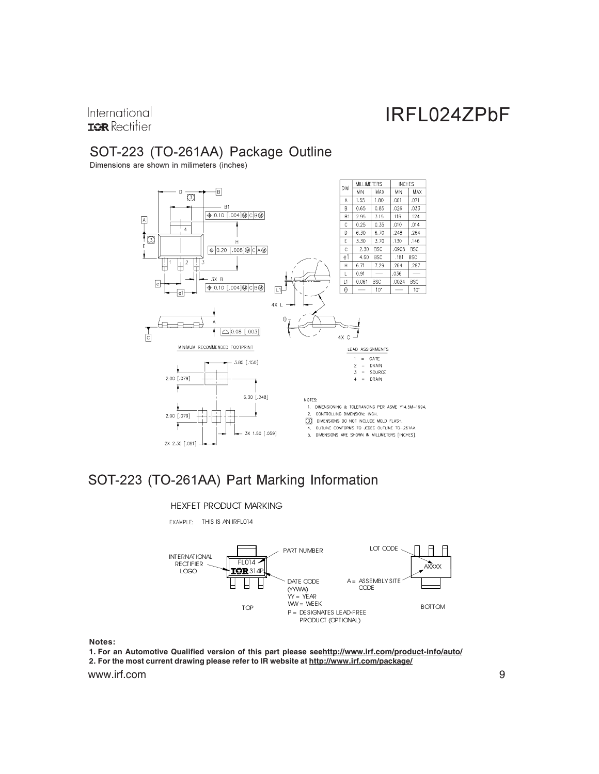International **IOR** Rectifier

## SOT-223 (TO-261AA) Package Outline

Dimensions are shown in milimeters (inches)



## SOT-223 (TO-261AA) Part Marking Information

#### HEXFET PRODUCT MARKING

EXAMPLE: THIS IS AN IRFLO14



**Notes:**

www.irf.com 9 **1. For an Automotive Qualified version of this part please seehttp://www.irf.com/product-info/auto/ 2. For the most current drawing please refer to IR website at http://www.irf.com/package/**